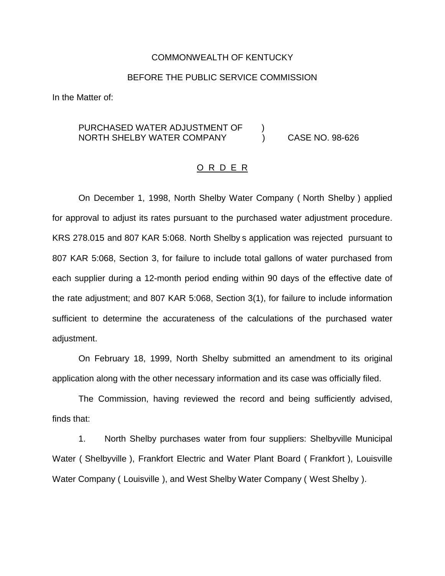#### COMMONWEALTH OF KENTUCKY

### BEFORE THE PUBLIC SERVICE COMMISSION

In the Matter of:

# PURCHASED WATER ADJUSTMENT OF  $\qquad$  ) NORTH SHELBY WATER COMPANY (CASE NO. 98-626)

### O R D E R

On December 1, 1998, North Shelby Water Company ( North Shelby ) applied for approval to adjust its rates pursuant to the purchased water adjustment procedure. KRS 278.015 and 807 KAR 5:068. North Shelby s application was rejected pursuant to 807 KAR 5:068, Section 3, for failure to include total gallons of water purchased from each supplier during a 12-month period ending within 90 days of the effective date of the rate adjustment; and 807 KAR 5:068, Section 3(1), for failure to include information sufficient to determine the accurateness of the calculations of the purchased water adjustment.

On February 18, 1999, North Shelby submitted an amendment to its original application along with the other necessary information and its case was officially filed.

The Commission, having reviewed the record and being sufficiently advised, finds that:

1. North Shelby purchases water from four suppliers: Shelbyville Municipal Water ( Shelbyville ), Frankfort Electric and Water Plant Board ( Frankfort ), Louisville Water Company ( Louisville ), and West Shelby Water Company ( West Shelby ).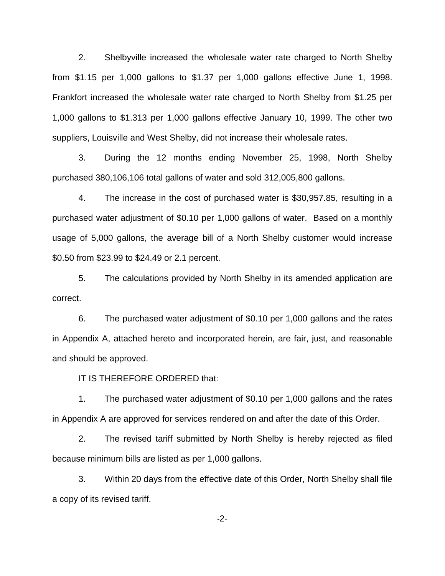2. Shelbyville increased the wholesale water rate charged to North Shelby from \$1.15 per 1,000 gallons to \$1.37 per 1,000 gallons effective June 1, 1998. Frankfort increased the wholesale water rate charged to North Shelby from \$1.25 per 1,000 gallons to \$1.313 per 1,000 gallons effective January 10, 1999. The other two suppliers, Louisville and West Shelby, did not increase their wholesale rates.

3. During the 12 months ending November 25, 1998, North Shelby purchased 380,106,106 total gallons of water and sold 312,005,800 gallons.

4. The increase in the cost of purchased water is \$30,957.85, resulting in a purchased water adjustment of \$0.10 per 1,000 gallons of water. Based on a monthly usage of 5,000 gallons, the average bill of a North Shelby customer would increase \$0.50 from \$23.99 to \$24.49 or 2.1 percent.

5. The calculations provided by North Shelby in its amended application are correct.

6. The purchased water adjustment of \$0.10 per 1,000 gallons and the rates in Appendix A, attached hereto and incorporated herein, are fair, just, and reasonable and should be approved.

IT IS THEREFORE ORDERED that:

1. The purchased water adjustment of \$0.10 per 1,000 gallons and the rates in Appendix A are approved for services rendered on and after the date of this Order.

2. The revised tariff submitted by North Shelby is hereby rejected as filed because minimum bills are listed as per 1,000 gallons.

3. Within 20 days from the effective date of this Order, North Shelby shall file a copy of its revised tariff.

-2-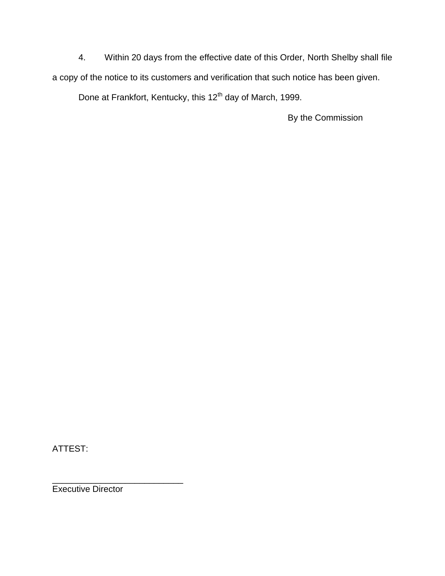4. Within 20 days from the effective date of this Order, North Shelby shall file a copy of the notice to its customers and verification that such notice has been given.

Done at Frankfort, Kentucky, this 12<sup>th</sup> day of March, 1999.

By the Commission

ATTEST:

\_\_\_\_\_\_\_\_\_\_\_\_\_\_\_\_\_\_\_\_\_\_\_\_\_\_\_ Executive Director